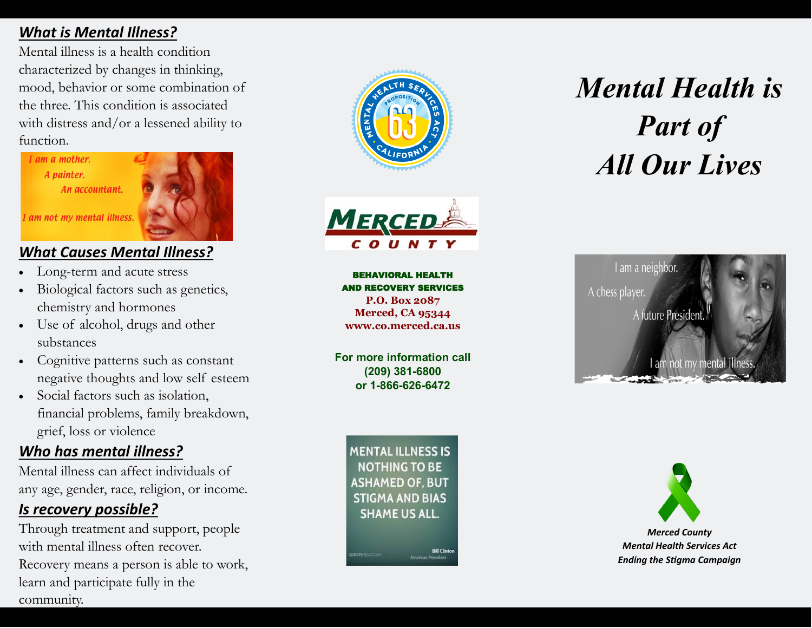### *What is Mental Illness?*

Mental illness is a health condition characterized by changes in thinking, mood, behavior or some combination of the three. This condition is associated with distress and/or a lessened ability to function.



### *What Causes Mental Illness?*

- Long-term and acute stress
- Biological factors such as genetics, chemistry and hormones
- Use of alcohol, drugs and other substances
- Cognitive patterns such as constant negative thoughts and low self esteem
- Social factors such as isolation, financial problems, family breakdown, grief, loss or violence

### *Who has mental illness?*

Mental illness can affect individuals of any age, gender, race, religion, or income.

### *Is recovery possible?*

Through treatment and support, people with mental illness often recover. Recovery means a person is able to work, learn and participate fully in the community.





BEHAVIORAL HEALTH AND RECOVERY SERVICES **P.O. Box 2087 Merced, CA 95344 www.co.merced.ca.us**

**For more information call (209) 381-6800 or 1-866-626-6472**

*Mental Health is Part of All Our Lives*



**MENTAL ILLNESS IS NOTHING TO BE ASHAMED OF. BUT STIGMA AND BIAS SHAME US ALL.** 

**NOTE-D.COM** 

**Bill Clinton** 

**Amarican President**